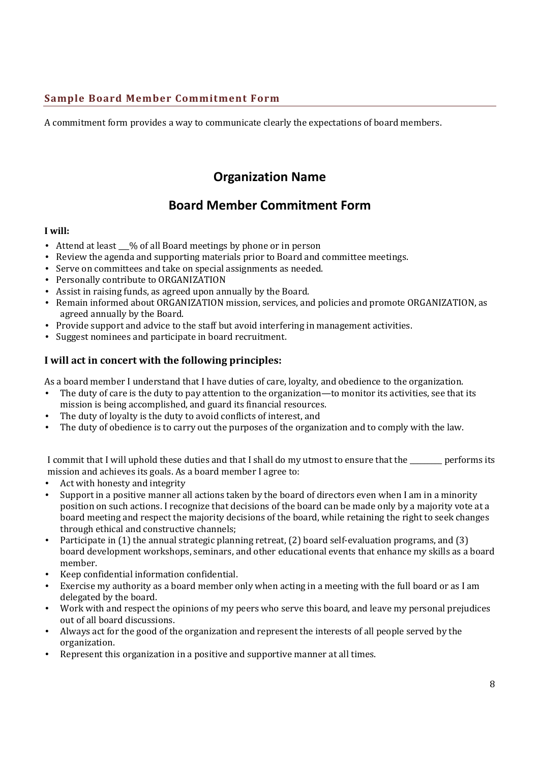#### **Sample Board Member Commitment Form**

A commitment form provides a way to communicate clearly the expectations of board members.

# **Organization Name**

# **Board Member Commitment Form**

#### **I will:**

- Attend at least  $\frac{1}{2}$  of all Board meetings by phone or in person
- Review the agenda and supporting materials prior to Board and committee meetings.
- Serve on committees and take on special assignments as needed.
- Personally contribute to ORGANIZATION
- Assist in raising funds, as agreed upon annually by the Board.
- Remain informed about ORGANIZATION mission, services, and policies and promote ORGANIZATION, as agreed annually by the Board.
- Provide support and advice to the staff but avoid interfering in management activities.
- Suggest nominees and participate in board recruitment.

### **I will act in concert with the following principles:**

As a board member I understand that I have duties of care, loyalty, and obedience to the organization.

- The duty of care is the duty to pay attention to the organization—to monitor its activities, see that its mission is being accomplished, and guard its financial resources.
- The duty of loyalty is the duty to avoid conflicts of interest, and
- The duty of obedience is to carry out the purposes of the organization and to comply with the law.

I commit that I will uphold these duties and that I shall do my utmost to ensure that the \_\_\_\_\_\_\_\_\_ performs its mission and achieves its goals. As a board member I agree to:

- Act with honesty and integrity
- Support in a positive manner all actions taken by the board of directors even when I am in a minority position on such actions. I recognize that decisions of the board can be made only by a majority vote at a board meeting and respect the majority decisions of the board, while retaining the right to seek changes through ethical and constructive channels;
- Participate in (1) the annual strategic planning retreat, (2) board self-evaluation programs, and (3) board development workshops, seminars, and other educational events that enhance my skills as a board member.
- Keep confidential information confidential.
- Exercise my authority as a board member only when acting in a meeting with the full board or as I am delegated by the board.
- Work with and respect the opinions of my peers who serve this board, and leave my personal prejudices out of all board discussions.
- Always act for the good of the organization and represent the interests of all people served by the organization.
- Represent this organization in a positive and supportive manner at all times.